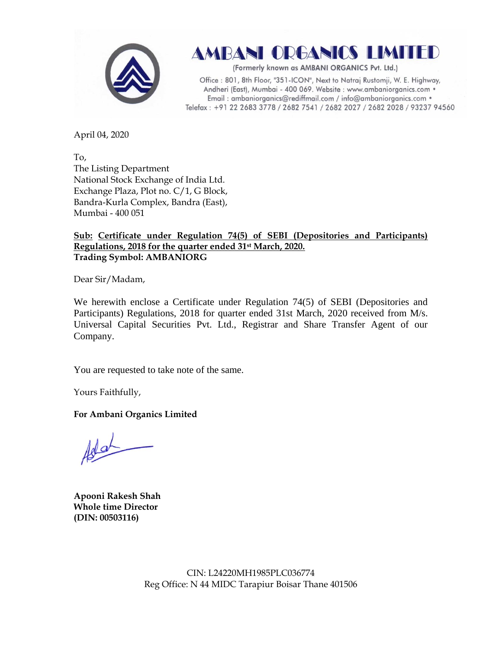

AMBANI ORGANICS LIMITED

(Formerly known as AMBANI ORGANICS Pvt. Ltd.)

Office: 801, 8th Floor, "351-ICON", Next to Natraj Rustomji, W. E. Highway, Andheri (East), Mumbai - 400 069. Website : www.ambaniorganics.com • Email: ambaniorganics@rediffmail.com / info@ambaniorganics.com . Telefax: +91 22 2683 3778 / 2682 7541 / 2682 2027 / 2682 2028 / 93237 94560

April 04, 2020

To, The Listing Department National Stock Exchange of India Ltd. Exchange Plaza, Plot no. C/1, G Block, Bandra-Kurla Complex, Bandra (East), Mumbai - 400 051

## **Sub: Certificate under Regulation 74(5) of SEBI (Depositories and Participants) Regulations, 2018 for the quarter ended 31st March, 2020. Trading Symbol: AMBANIORG**

Dear Sir/Madam,

We herewith enclose a Certificate under Regulation 74(5) of SEBI (Depositories and Participants) Regulations, 2018 for quarter ended 31st March, 2020 received from M/s. Universal Capital Securities Pvt. Ltd., Registrar and Share Transfer Agent of our Company.

You are requested to take note of the same.

Yours Faithfully,

**For Ambani Organics Limited**

 $10-$ 

**Apooni Rakesh Shah Whole time Director (DIN: [00503116\)](http://www.mca.gov.in/mcafoportal/companyLLPMasterData.do)**

CIN: L24220MH1985PLC036774 Reg Office: N 44 MIDC Tarapiur Boisar Thane 401506